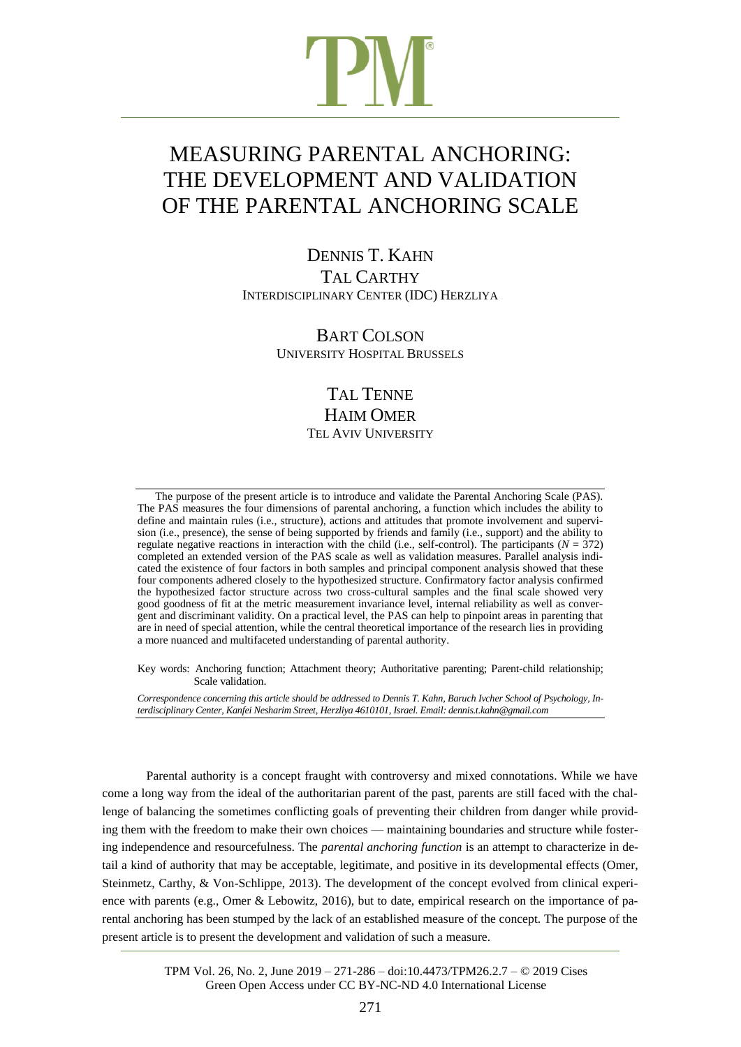# MEASURING PARENTAL ANCHORING: THE DEVELOPMENT AND VALIDATION OF THE PARENTAL ANCHORING SCALE

DENNIS T. KAHN TAL CARTHY INTERDISCIPLINARY CENTER (IDC) HERZLIYA

> BART COLSON UNIVERSITY HOSPITAL BRUSSELS

## TAL TENNE HAIM OMER TEL AVIV UNIVERSITY

The purpose of the present article is to introduce and validate the Parental Anchoring Scale (PAS). The PAS measures the four dimensions of parental anchoring, a function which includes the ability to define and maintain rules (i.e., structure), actions and attitudes that promote involvement and supervision (i.e., presence), the sense of being supported by friends and family (i.e., support) and the ability to regulate negative reactions in interaction with the child (i.e., self-control). The participants ( $N = 372$ ) completed an extended version of the PAS scale as well as validation measures. Parallel analysis indicated the existence of four factors in both samples and principal component analysis showed that these four components adhered closely to the hypothesized structure. Confirmatory factor analysis confirmed the hypothesized factor structure across two cross-cultural samples and the final scale showed very good goodness of fit at the metric measurement invariance level, internal reliability as well as convergent and discriminant validity. On a practical level, the PAS can help to pinpoint areas in parenting that are in need of special attention, while the central theoretical importance of the research lies in providing a more nuanced and multifaceted understanding of parental authority.

Key words: Anchoring function; Attachment theory; Authoritative parenting; Parent-child relationship; Scale validation.

Correspondence concerning this article should be addressed to Dennis T. Kahn, Baruch Ivcher School of Psychology, In*terdisciplinary Center, Kanfei Nesharim Street, Herzliya 4610101, Israel. Email: dennis.t.kahn@gmail.com*

Parental authority is a concept fraught with controversy and mixed connotations. While we have come a long way from the ideal of the authoritarian parent of the past, parents are still faced with the challenge of balancing the sometimes conflicting goals of preventing their children from danger while providing them with the freedom to make their own choices — maintaining boundaries and structure while fostering independence and resourcefulness. The *parental anchoring function* is an attempt to characterize in detail a kind of authority that may be acceptable, legitimate, and positive in its developmental effects (Omer, Steinmetz, Carthy, & Von-Schlippe, 2013). The development of the concept evolved from clinical experience with parents (e.g., Omer & Lebowitz, 2016), but to date, empirical research on the importance of parental anchoring has been stumped by the lack of an established measure of the concept. The purpose of the present article is to present the development and validation of such a measure.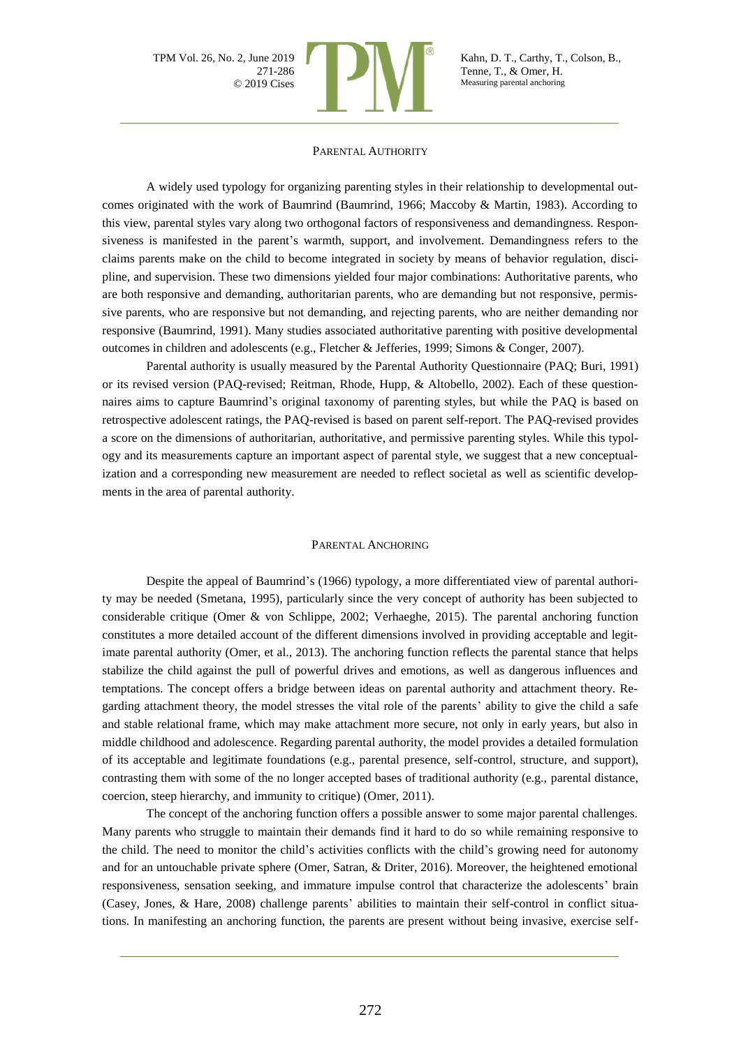

#### PARENTAL AUTHORITY

A widely used typology for organizing parenting styles in their relationship to developmental outcomes originated with the work of Baumrind (Baumrind, 1966; Maccoby & Martin, 1983). According to this view, parental styles vary along two orthogonal factors of responsiveness and demandingness. Responsiveness is manifested in the parent's warmth, support, and involvement. Demandingness refers to the claims parents make on the child to become integrated in society by means of behavior regulation, discipline, and supervision. These two dimensions yielded four major combinations: Authoritative parents, who are both responsive and demanding, authoritarian parents, who are demanding but not responsive, permissive parents, who are responsive but not demanding, and rejecting parents, who are neither demanding nor responsive (Baumrind, 1991). Many studies associated authoritative parenting with positive developmental outcomes in children and adolescents (e.g., Fletcher & Jefferies, 1999; Simons & Conger, 2007).

Parental authority is usually measured by the Parental Authority Questionnaire (PAQ; Buri, 1991) or its revised version (PAQ-revised; Reitman, Rhode, Hupp, & Altobello, 2002). Each of these questionnaires aims to capture Baumrind's original taxonomy of parenting styles, but while the PAQ is based on retrospective adolescent ratings, the PAQ-revised is based on parent self-report. The PAQ-revised provides a score on the dimensions of authoritarian, authoritative, and permissive parenting styles. While this typology and its measurements capture an important aspect of parental style, we suggest that a new conceptualization and a corresponding new measurement are needed to reflect societal as well as scientific developments in the area of parental authority.

#### PARENTAL ANCHORING

Despite the appeal of Baumrind's (1966) typology, a more differentiated view of parental authority may be needed (Smetana, 1995), particularly since the very concept of authority has been subjected to considerable critique (Omer & von Schlippe, 2002; Verhaeghe, 2015). The parental anchoring function constitutes a more detailed account of the different dimensions involved in providing acceptable and legitimate parental authority (Omer, et al., 2013). The anchoring function reflects the parental stance that helps stabilize the child against the pull of powerful drives and emotions, as well as dangerous influences and temptations. The concept offers a bridge between ideas on parental authority and attachment theory. Regarding attachment theory, the model stresses the vital role of the parents' ability to give the child a safe and stable relational frame, which may make attachment more secure, not only in early years, but also in middle childhood and adolescence. Regarding parental authority, the model provides a detailed formulation of its acceptable and legitimate foundations (e.g., parental presence, self-control, structure, and support), contrasting them with some of the no longer accepted bases of traditional authority (e.g., parental distance, coercion, steep hierarchy, and immunity to critique) (Omer, 2011).

The concept of the anchoring function offers a possible answer to some major parental challenges. Many parents who struggle to maintain their demands find it hard to do so while remaining responsive to the child. The need to monitor the child's activities conflicts with the child's growing need for autonomy and for an untouchable private sphere (Omer, Satran, & Driter, 2016). Moreover, the heightened emotional responsiveness, sensation seeking, and immature impulse control that characterize the adolescents' brain (Casey, Jones, & Hare, 2008) challenge parents' abilities to maintain their self-control in conflict situations. In manifesting an anchoring function, the parents are present without being invasive, exercise self-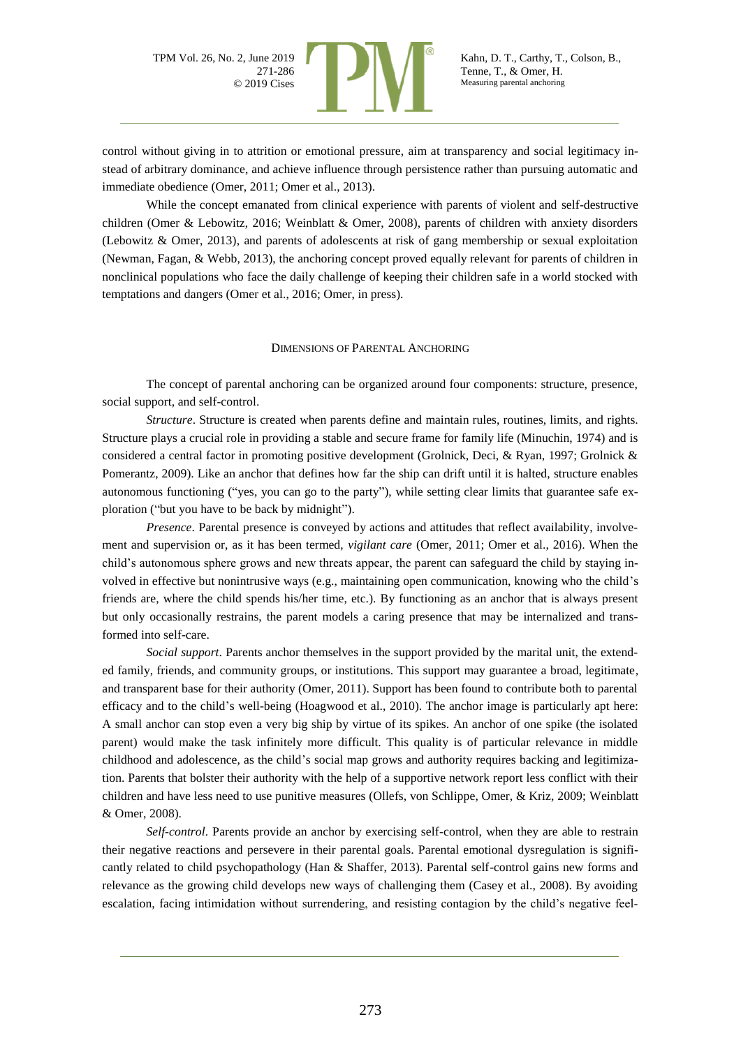

control without giving in to attrition or emotional pressure, aim at transparency and social legitimacy instead of arbitrary dominance, and achieve influence through persistence rather than pursuing automatic and immediate obedience (Omer, 2011; Omer et al., 2013).

While the concept emanated from clinical experience with parents of violent and self-destructive children (Omer & Lebowitz, 2016; Weinblatt & Omer, 2008), parents of children with anxiety disorders (Lebowitz & Omer, 2013), and parents of adolescents at risk of gang membership or sexual exploitation (Newman, Fagan, & Webb, 2013), the anchoring concept proved equally relevant for parents of children in nonclinical populations who face the daily challenge of keeping their children safe in a world stocked with temptations and dangers (Omer et al., 2016; Omer, in press).

#### DIMENSIONS OF PARENTAL ANCHORING

The concept of parental anchoring can be organized around four components: structure, presence, social support, and self-control.

*Structure*. Structure is created when parents define and maintain rules, routines, limits, and rights. Structure plays a crucial role in providing a stable and secure frame for family life (Minuchin, 1974) and is considered a central factor in promoting positive development (Grolnick, Deci, & Ryan, 1997; Grolnick & Pomerantz, 2009). Like an anchor that defines how far the ship can drift until it is halted, structure enables autonomous functioning ("yes, you can go to the party"), while setting clear limits that guarantee safe exploration ("but you have to be back by midnight").

*Presence*. Parental presence is conveyed by actions and attitudes that reflect availability, involvement and supervision or, as it has been termed, *vigilant care* (Omer, 2011; Omer et al., 2016). When the child's autonomous sphere grows and new threats appear, the parent can safeguard the child by staying involved in effective but nonintrusive ways (e.g., maintaining open communication, knowing who the child's friends are, where the child spends his/her time, etc.). By functioning as an anchor that is always present but only occasionally restrains, the parent models a caring presence that may be internalized and transformed into self-care.

*Social support*. Parents anchor themselves in the support provided by the marital unit, the extended family, friends, and community groups, or institutions. This support may guarantee a broad, legitimate, and transparent base for their authority (Omer, 2011). Support has been found to contribute both to parental efficacy and to the child's well-being (Hoagwood et al., 2010). The anchor image is particularly apt here: A small anchor can stop even a very big ship by virtue of its spikes. An anchor of one spike (the isolated parent) would make the task infinitely more difficult. This quality is of particular relevance in middle childhood and adolescence, as the child's social map grows and authority requires backing and legitimization. Parents that bolster their authority with the help of a supportive network report less conflict with their children and have less need to use punitive measures (Ollefs, von Schlippe, Omer, & Kriz, 2009; Weinblatt & Omer, 2008).

*Self-control*. Parents provide an anchor by exercising self-control, when they are able to restrain their negative reactions and persevere in their parental goals. Parental emotional dysregulation is significantly related to child psychopathology (Han & Shaffer, 2013). Parental self-control gains new forms and relevance as the growing child develops new ways of challenging them (Casey et al., 2008). By avoiding escalation, facing intimidation without surrendering, and resisting contagion by the child's negative feel-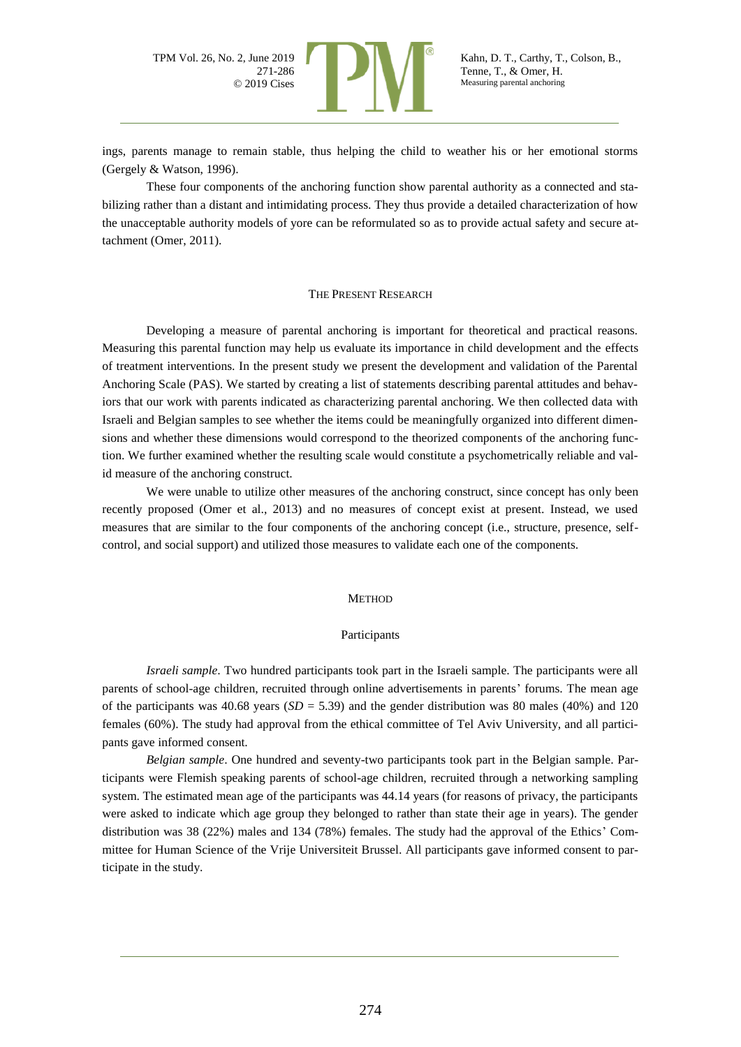

ings, parents manage to remain stable, thus helping the child to weather his or her emotional storms (Gergely & Watson, 1996).

These four components of the anchoring function show parental authority as a connected and stabilizing rather than a distant and intimidating process. They thus provide a detailed characterization of how the unacceptable authority models of yore can be reformulated so as to provide actual safety and secure attachment (Omer, 2011).

#### THE PRESENT RESEARCH

Developing a measure of parental anchoring is important for theoretical and practical reasons. Measuring this parental function may help us evaluate its importance in child development and the effects of treatment interventions. In the present study we present the development and validation of the Parental Anchoring Scale (PAS). We started by creating a list of statements describing parental attitudes and behaviors that our work with parents indicated as characterizing parental anchoring. We then collected data with Israeli and Belgian samples to see whether the items could be meaningfully organized into different dimensions and whether these dimensions would correspond to the theorized components of the anchoring function. We further examined whether the resulting scale would constitute a psychometrically reliable and valid measure of the anchoring construct.

We were unable to utilize other measures of the anchoring construct, since concept has only been recently proposed (Omer et al., 2013) and no measures of concept exist at present. Instead, we used measures that are similar to the four components of the anchoring concept (i.e., structure, presence, selfcontrol, and social support) and utilized those measures to validate each one of the components.

#### **METHOD**

#### Participants

*Israeli sample*. Two hundred participants took part in the Israeli sample. The participants were all parents of school-age children, recruited through online advertisements in parents' forums. The mean age of the participants was  $40.68$  years  $(SD = 5.39)$  and the gender distribution was 80 males (40%) and 120 females (60%). The study had approval from the ethical committee of Tel Aviv University, and all participants gave informed consent.

*Belgian sample*. One hundred and seventy-two participants took part in the Belgian sample. Participants were Flemish speaking parents of school-age children, recruited through a networking sampling system. The estimated mean age of the participants was 44.14 years (for reasons of privacy, the participants were asked to indicate which age group they belonged to rather than state their age in years). The gender distribution was 38 (22%) males and 134 (78%) females. The study had the approval of the Ethics' Committee for Human Science of the Vrije Universiteit Brussel. All participants gave informed consent to participate in the study.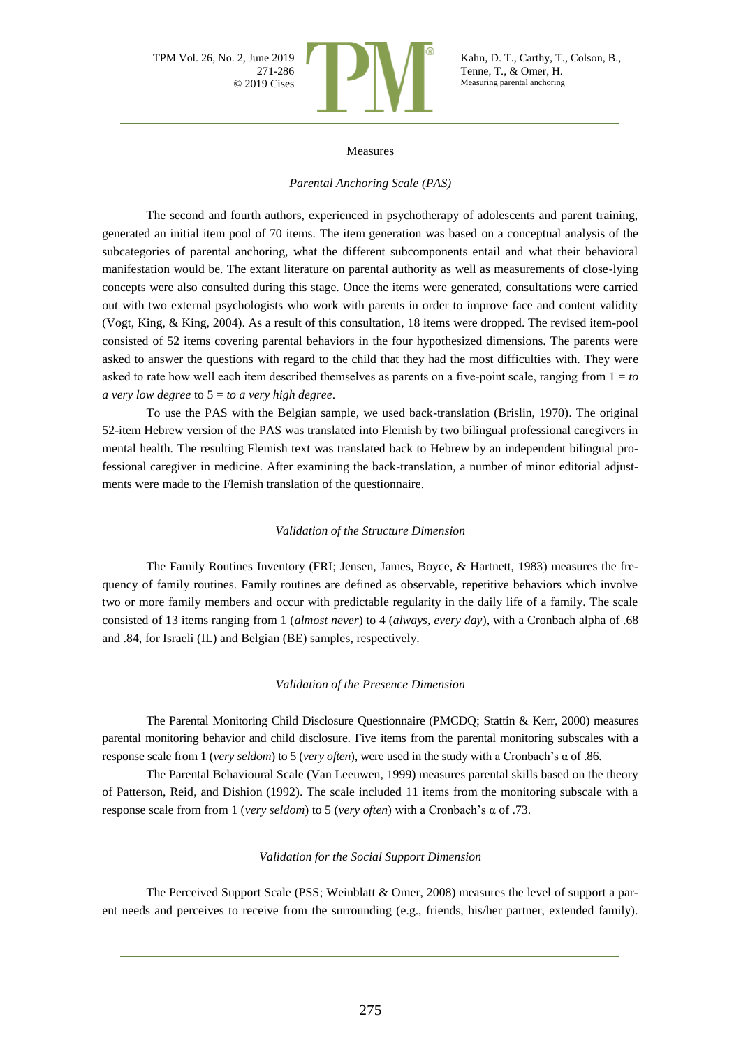

#### Measures

#### *Parental Anchoring Scale (PAS)*

The second and fourth authors, experienced in psychotherapy of adolescents and parent training, generated an initial item pool of 70 items. The item generation was based on a conceptual analysis of the subcategories of parental anchoring, what the different subcomponents entail and what their behavioral manifestation would be. The extant literature on parental authority as well as measurements of close-lying concepts were also consulted during this stage. Once the items were generated, consultations were carried out with two external psychologists who work with parents in order to improve face and content validity (Vogt, King, & King, 2004). As a result of this consultation, 18 items were dropped. The revised item-pool consisted of 52 items covering parental behaviors in the four hypothesized dimensions. The parents were asked to answer the questions with regard to the child that they had the most difficulties with. They were asked to rate how well each item described themselves as parents on a five-point scale, ranging from  $1 = to$ *a very low degree* to 5 = *to a very high degree*.

To use the PAS with the Belgian sample, we used back-translation (Brislin, 1970). The original 52-item Hebrew version of the PAS was translated into Flemish by two bilingual professional caregivers in mental health. The resulting Flemish text was translated back to Hebrew by an independent bilingual professional caregiver in medicine. After examining the back-translation, a number of minor editorial adjustments were made to the Flemish translation of the questionnaire.

#### *Validation of the Structure Dimension*

The Family Routines Inventory (FRI; Jensen, James, Boyce, & Hartnett, 1983) measures the frequency of family routines. Family routines are defined as observable, repetitive behaviors which involve two or more family members and occur with predictable regularity in the daily life of a family. The scale consisted of 13 items ranging from 1 (*almost never*) to 4 (*always, every day*), with a Cronbach alpha of .68 and .84, for Israeli (IL) and Belgian (BE) samples, respectively.

#### *Validation of the Presence Dimension*

The Parental Monitoring Child Disclosure Questionnaire (PMCDQ; Stattin & Kerr, 2000) measures parental monitoring behavior and child disclosure. Five items from the parental monitoring subscales with a response scale from 1 (*very seldom*) to 5 (*very often*), were used in the study with a Cronbach's α of .86.

The Parental Behavioural Scale (Van Leeuwen, 1999) measures parental skills based on the theory of Patterson, Reid, and Dishion (1992). The scale included 11 items from the monitoring subscale with a response scale from from 1 (*very seldom*) to 5 (*very often*) with a Cronbach's α of .73.

#### *Validation for the Social Support Dimension*

The Perceived Support Scale (PSS; Weinblatt & Omer, 2008) measures the level of support a parent needs and perceives to receive from the surrounding (e.g., friends, his/her partner, extended family).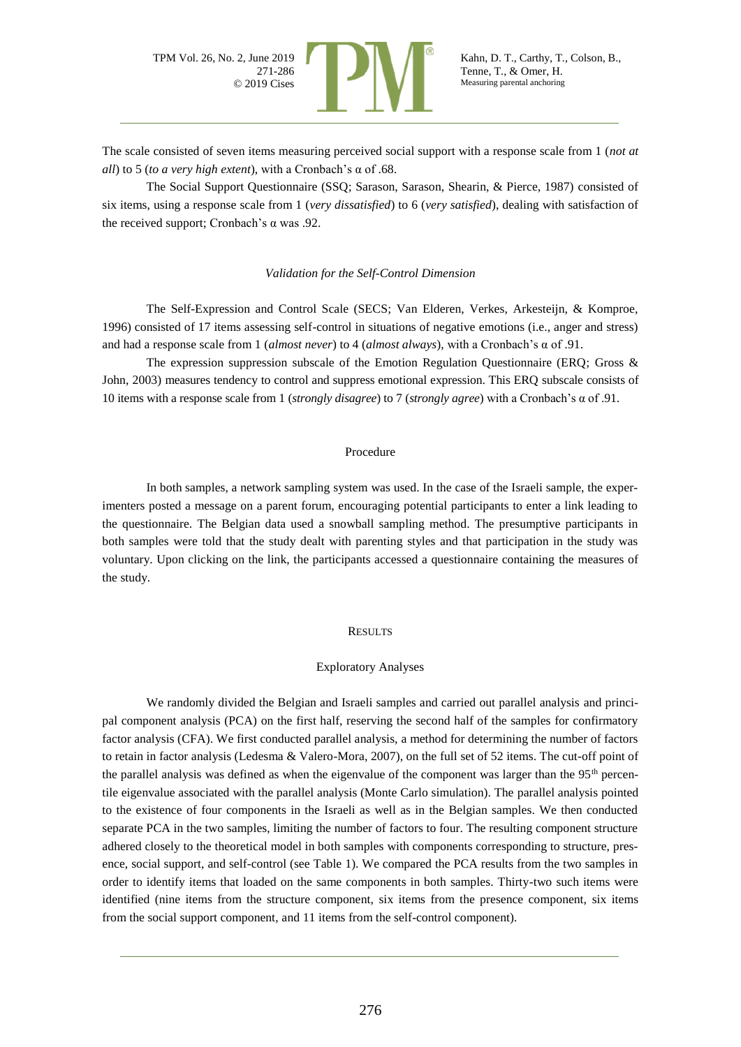

The scale consisted of seven items measuring perceived social support with a response scale from 1 (*not at all*) to 5 (*to a very high extent*), with a Cronbach's α of .68.

The Social Support Questionnaire (SSQ; Sarason, Sarason, Shearin, & Pierce, 1987) consisted of six items, using a response scale from 1 (*very dissatisfied*) to 6 (*very satisfied*), dealing with satisfaction of the received support; Cronbach's α was .92.

#### *Validation for the Self-Control Dimension*

The Self-Expression and Control Scale (SECS; Van Elderen, Verkes, Arkesteijn, & Komproe, 1996) consisted of 17 items assessing self-control in situations of negative emotions (i.e., anger and stress) and had a response scale from 1 (*almost never*) to 4 (*almost always*), with a Cronbach's α of .91.

The expression suppression subscale of the Emotion Regulation Questionnaire (ERQ; Gross & John, 2003) measures tendency to control and suppress emotional expression. This ERQ subscale consists of 10 items with a response scale from 1 (*strongly disagree*) to 7 (*strongly agree*) with a Cronbach's α of .91.

#### Procedure

In both samples, a network sampling system was used. In the case of the Israeli sample, the experimenters posted a message on a parent forum, encouraging potential participants to enter a link leading to the questionnaire. The Belgian data used a snowball sampling method. The presumptive participants in both samples were told that the study dealt with parenting styles and that participation in the study was voluntary. Upon clicking on the link, the participants accessed a questionnaire containing the measures of the study.

#### **RESULTS**

### Exploratory Analyses

We randomly divided the Belgian and Israeli samples and carried out parallel analysis and principal component analysis (PCA) on the first half, reserving the second half of the samples for confirmatory factor analysis (CFA). We first conducted parallel analysis, a method for determining the number of factors to retain in factor analysis (Ledesma & Valero-Mora, 2007), on the full set of 52 items. The cut-off point of the parallel analysis was defined as when the eigenvalue of the component was larger than the  $95<sup>th</sup>$  percentile eigenvalue associated with the parallel analysis (Monte Carlo simulation). The parallel analysis pointed to the existence of four components in the Israeli as well as in the Belgian samples. We then conducted separate PCA in the two samples, limiting the number of factors to four. The resulting component structure adhered closely to the theoretical model in both samples with components corresponding to structure, presence, social support, and self-control (see Table 1). We compared the PCA results from the two samples in order to identify items that loaded on the same components in both samples. Thirty-two such items were identified (nine items from the structure component, six items from the presence component, six items from the social support component, and 11 items from the self-control component).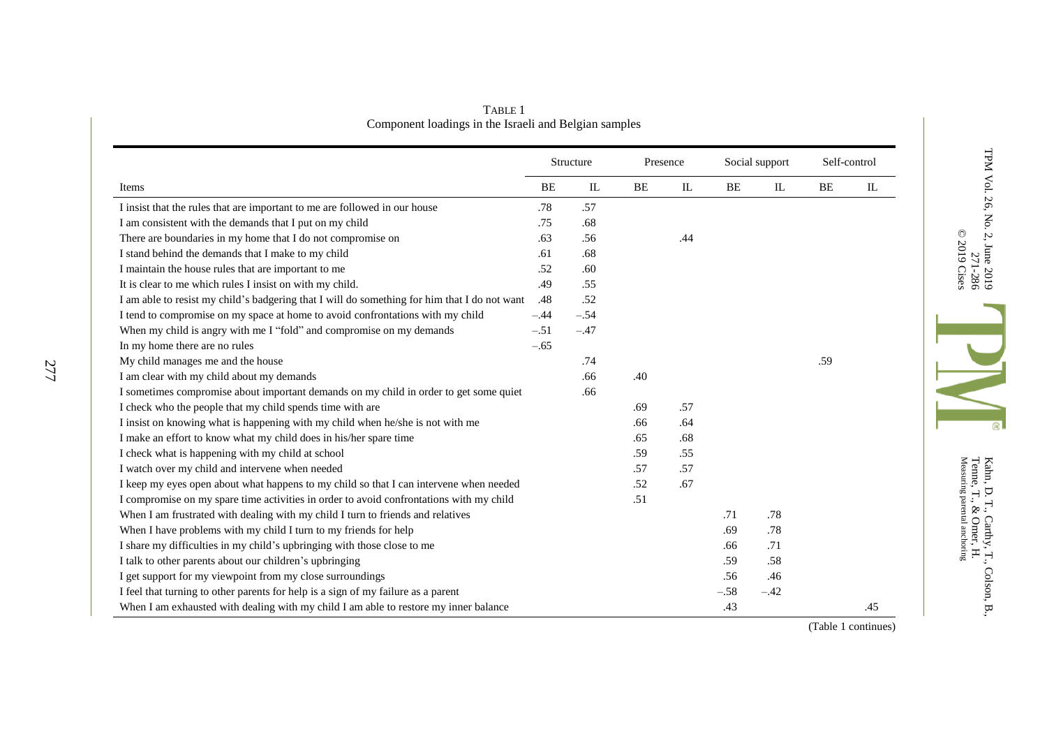| Items                                                                                        |        | Structure |     | Presence |        | Social support |     | Self-control |  |
|----------------------------------------------------------------------------------------------|--------|-----------|-----|----------|--------|----------------|-----|--------------|--|
|                                                                                              |        | IL        | BE  | IL       | BE     | $\mathbf{I}$   | BE  | IL           |  |
| I insist that the rules that are important to me are followed in our house                   | .78    | .57       |     |          |        |                |     |              |  |
| I am consistent with the demands that I put on my child                                      | .75    | .68       |     |          |        |                |     |              |  |
| There are boundaries in my home that I do not compromise on                                  | .63    | .56       |     | .44      |        |                |     |              |  |
| I stand behind the demands that I make to my child                                           | .61    | .68       |     |          |        |                |     |              |  |
| I maintain the house rules that are important to me                                          | .52    | .60       |     |          |        |                |     |              |  |
| It is clear to me which rules I insist on with my child.                                     | .49    | .55       |     |          |        |                |     |              |  |
| I am able to resist my child's badgering that I will do something for him that I do not want | .48    | .52       |     |          |        |                |     |              |  |
| I tend to compromise on my space at home to avoid confrontations with my child               | $-.44$ | $-.54$    |     |          |        |                |     |              |  |
| When my child is angry with me I "fold" and compromise on my demands                         | $-.51$ | $-.47$    |     |          |        |                |     |              |  |
| In my home there are no rules                                                                | $-.65$ |           |     |          |        |                |     |              |  |
| My child manages me and the house                                                            |        | .74       |     |          |        |                | .59 |              |  |
| I am clear with my child about my demands                                                    |        | .66       | .40 |          |        |                |     |              |  |
| I sometimes compromise about important demands on my child in order to get some quiet        |        | .66       |     |          |        |                |     |              |  |
| I check who the people that my child spends time with are                                    |        |           | .69 | .57      |        |                |     |              |  |
| I insist on knowing what is happening with my child when he/she is not with me               |        |           | .66 | .64      |        |                |     |              |  |
| I make an effort to know what my child does in his/her spare time                            |        |           | .65 | .68      |        |                |     |              |  |
| I check what is happening with my child at school                                            |        |           | .59 | .55      |        |                |     |              |  |
| I watch over my child and intervene when needed                                              |        |           | .57 | .57      |        |                |     |              |  |
| I keep my eyes open about what happens to my child so that I can intervene when needed       |        |           | .52 | .67      |        |                |     |              |  |
| I compromise on my spare time activities in order to avoid confrontations with my child      |        |           | .51 |          |        |                |     |              |  |
| When I am frustrated with dealing with my child I turn to friends and relatives              |        |           |     |          | .71    | .78            |     |              |  |
| When I have problems with my child I turn to my friends for help                             |        |           |     |          | .69    | .78            |     |              |  |
| I share my difficulties in my child's upbringing with those close to me                      |        |           |     |          | .66    | .71            |     |              |  |
| I talk to other parents about our children's upbringing                                      |        |           |     |          | .59    | .58            |     |              |  |
| I get support for my viewpoint from my close surroundings                                    |        |           |     |          | .56    | .46            |     |              |  |
| I feel that turning to other parents for help is a sign of my failure as a parent            |        |           |     |          | $-.58$ | $-.42$         |     |              |  |
| When I am exhausted with dealing with my child I am able to restore my inner balance         |        |           |     |          | .43    |                |     | .45          |  |

TABLE 1 Component loadings in the Israeli and Belgian samples

Kahn, D. T., Carthy, T., Colson, B.,<br>Tenne, T., & Omer, H.<br>Measuring parental anchoring Measuring parental anchoring Tenne, T., & Omer, H. Kahn, D. T., Carthy, T., Colson, B.,

 $\circ$ 

TPM Vol. 26, No. 2, June 2019

271-286

© 2019

Cises

(Table 1 continues)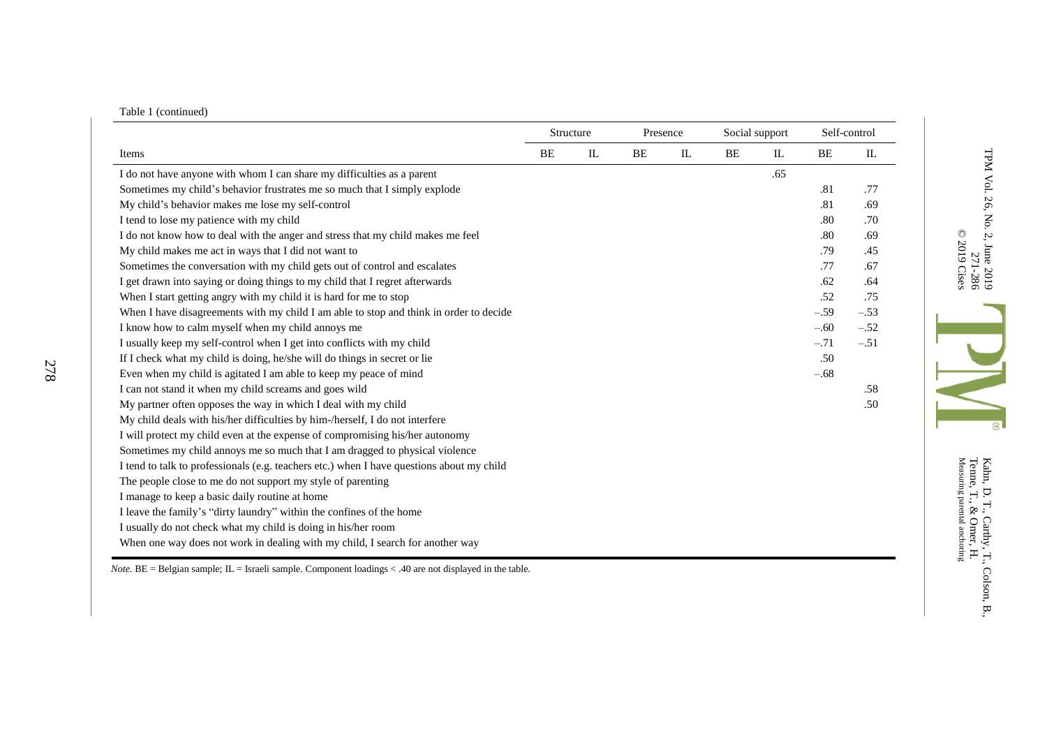|  | Table 1 (continued) |  |
|--|---------------------|--|
|  |                     |  |

278

|                                                                                           | Structure |              | Presence |    | Social support |             |        | Self-control  |
|-------------------------------------------------------------------------------------------|-----------|--------------|----------|----|----------------|-------------|--------|---------------|
| Items                                                                                     | BE        | $\mathbf{I}$ | BE       | IL | <b>BE</b>      | $_{\rm IL}$ | BE     | $\mathbbm{L}$ |
| I do not have anyone with whom I can share my difficulties as a parent                    |           |              |          |    |                | .65         |        |               |
| Sometimes my child's behavior frustrates me so much that I simply explode                 |           |              |          |    |                |             | .81    | .77           |
| My child's behavior makes me lose my self-control                                         |           |              |          |    |                |             | .81    | .69           |
| I tend to lose my patience with my child                                                  |           |              |          |    |                |             | .80    | .70           |
| I do not know how to deal with the anger and stress that my child makes me feel           |           |              |          |    |                |             | .80    | .69           |
| My child makes me act in ways that I did not want to                                      |           |              |          |    |                |             | .79    | .45           |
| Sometimes the conversation with my child gets out of control and escalates                |           |              |          |    |                |             | .77    | .67           |
| I get drawn into saying or doing things to my child that I regret afterwards              |           |              |          |    |                |             | .62    | .64           |
| When I start getting angry with my child it is hard for me to stop                        |           |              |          |    |                |             | .52    | .75           |
| When I have disagreements with my child I am able to stop and think in order to decide    |           |              |          |    |                |             | $-.59$ | $-.53$        |
| I know how to calm myself when my child annoys me                                         |           |              |          |    |                |             | $-.60$ | $-.52$        |
| I usually keep my self-control when I get into conflicts with my child                    |           |              |          |    |                |             | $-.71$ | $-.51$        |
| If I check what my child is doing, he/she will do things in secret or lie                 |           |              |          |    |                |             | .50    |               |
| Even when my child is agitated I am able to keep my peace of mind                         |           |              |          |    |                |             | $-.68$ |               |
| I can not stand it when my child screams and goes wild                                    |           |              |          |    |                |             |        | .58           |
| My partner often opposes the way in which I deal with my child                            |           |              |          |    |                |             |        | .50           |
| My child deals with his/her difficulties by him-/herself, I do not interfere              |           |              |          |    |                |             |        |               |
| I will protect my child even at the expense of compromising his/her autonomy              |           |              |          |    |                |             |        |               |
| Sometimes my child annoys me so much that I am dragged to physical violence               |           |              |          |    |                |             |        |               |
| I tend to talk to professionals (e.g. teachers etc.) when I have questions about my child |           |              |          |    |                |             |        |               |
| The people close to me do not support my style of parenting                               |           |              |          |    |                |             |        |               |
| I manage to keep a basic daily routine at home                                            |           |              |          |    |                |             |        |               |
| I leave the family's "dirty laundry" within the confines of the home                      |           |              |          |    |                |             |        |               |
| I usually do not check what my child is doing in his/her room                             |           |              |          |    |                |             |        |               |
| When one way does not work in dealing with my child, I search for another way             |           |              |          |    |                |             |        |               |

*Note*. BE = Belgian sample; IL = Israeli sample. Component loadings < .40 are not displayed in the table.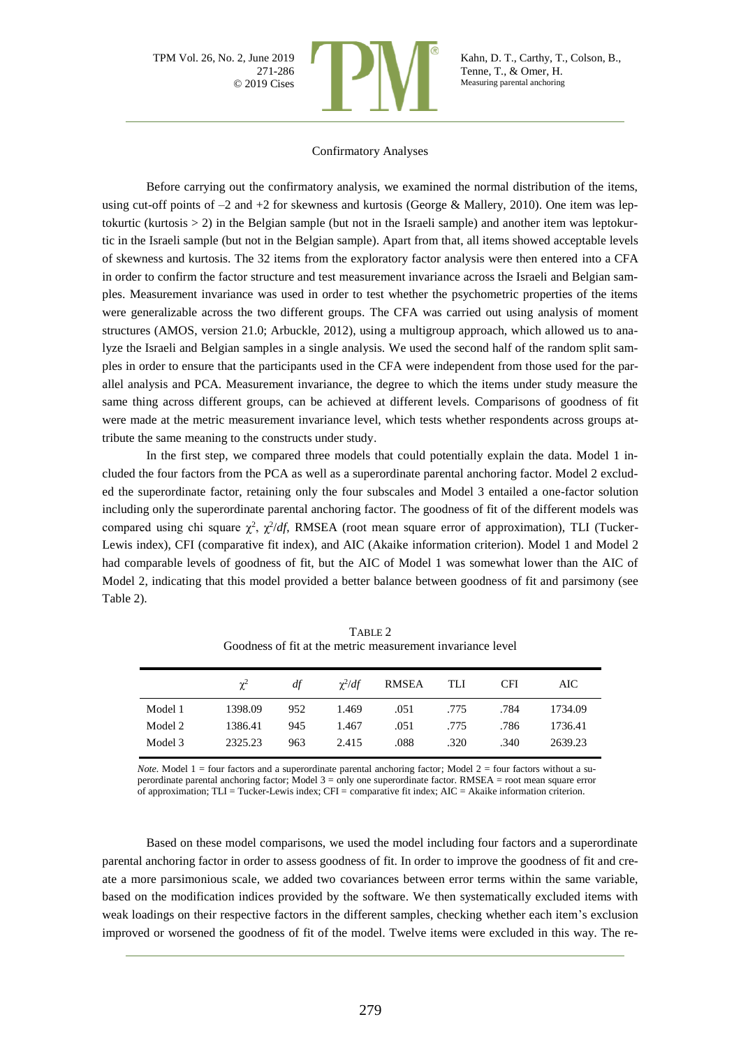

Kahn, D. T., Carthy, T., Colson, B., Tenne, T., & Omer, H. Measuring parental anchoring

#### Confirmatory Analyses

Before carrying out the confirmatory analysis, we examined the normal distribution of the items, using cut-off points of  $-2$  and  $+2$  for skewness and kurtosis (George & Mallery, 2010). One item was leptokurtic (kurtosis > 2) in the Belgian sample (but not in the Israeli sample) and another item was leptokurtic in the Israeli sample (but not in the Belgian sample). Apart from that, all items showed acceptable levels of skewness and kurtosis. The 32 items from the exploratory factor analysis were then entered into a CFA in order to confirm the factor structure and test measurement invariance across the Israeli and Belgian samples. Measurement invariance was used in order to test whether the psychometric properties of the items were generalizable across the two different groups. The CFA was carried out using analysis of moment structures (AMOS, version 21.0; Arbuckle, 2012), using a multigroup approach, which allowed us to analyze the Israeli and Belgian samples in a single analysis. We used the second half of the random split samples in order to ensure that the participants used in the CFA were independent from those used for the parallel analysis and PCA. Measurement invariance, the degree to which the items under study measure the same thing across different groups, can be achieved at different levels. Comparisons of goodness of fit were made at the metric measurement invariance level, which tests whether respondents across groups attribute the same meaning to the constructs under study.

In the first step, we compared three models that could potentially explain the data. Model 1 included the four factors from the PCA as well as a superordinate parental anchoring factor. Model 2 excluded the superordinate factor, retaining only the four subscales and Model 3 entailed a one-factor solution including only the superordinate parental anchoring factor. The goodness of fit of the different models was compared using chi square  $\chi^2$ ,  $\chi^2/df$ , RMSEA (root mean square error of approximation), TLI (Tucker-Lewis index), CFI (comparative fit index), and AIC (Akaike information criterion). Model 1 and Model 2 had comparable levels of goodness of fit, but the AIC of Model 1 was somewhat lower than the AIC of Model 2, indicating that this model provided a better balance between goodness of fit and parsimony (see Table 2).

|         | $\gamma^2$ | df  | $\gamma^2/df$ | <b>RMSEA</b> | TLI  | <b>CFI</b> | AIC     |
|---------|------------|-----|---------------|--------------|------|------------|---------|
| Model 1 | 1398.09    | 952 | 1.469         | .051         | .775 | .784       | 1734.09 |
| Model 2 | 1386.41    | 945 | 1.467         | .051         | .775 | .786       | 1736.41 |
| Model 3 | 2325.23    | 963 | 2.415         | .088         | .320 | .340       | 2639.23 |

TABLE 2 Goodness of fit at the metric measurement invariance level

*Note.* Model  $1 =$  four factors and a superordinate parental anchoring factor; Model  $2 =$  four factors without a superordinate parental anchoring factor; Model 3 = only one superordinate factor. RMSEA = root mean square error of approximation; TLI = Tucker-Lewis index; CFI = comparative fit index; AIC = Akaike information criterion.

Based on these model comparisons, we used the model including four factors and a superordinate parental anchoring factor in order to assess goodness of fit. In order to improve the goodness of fit and create a more parsimonious scale, we added two covariances between error terms within the same variable, based on the modification indices provided by the software. We then systematically excluded items with weak loadings on their respective factors in the different samples, checking whether each item's exclusion improved or worsened the goodness of fit of the model. Twelve items were excluded in this way. The re-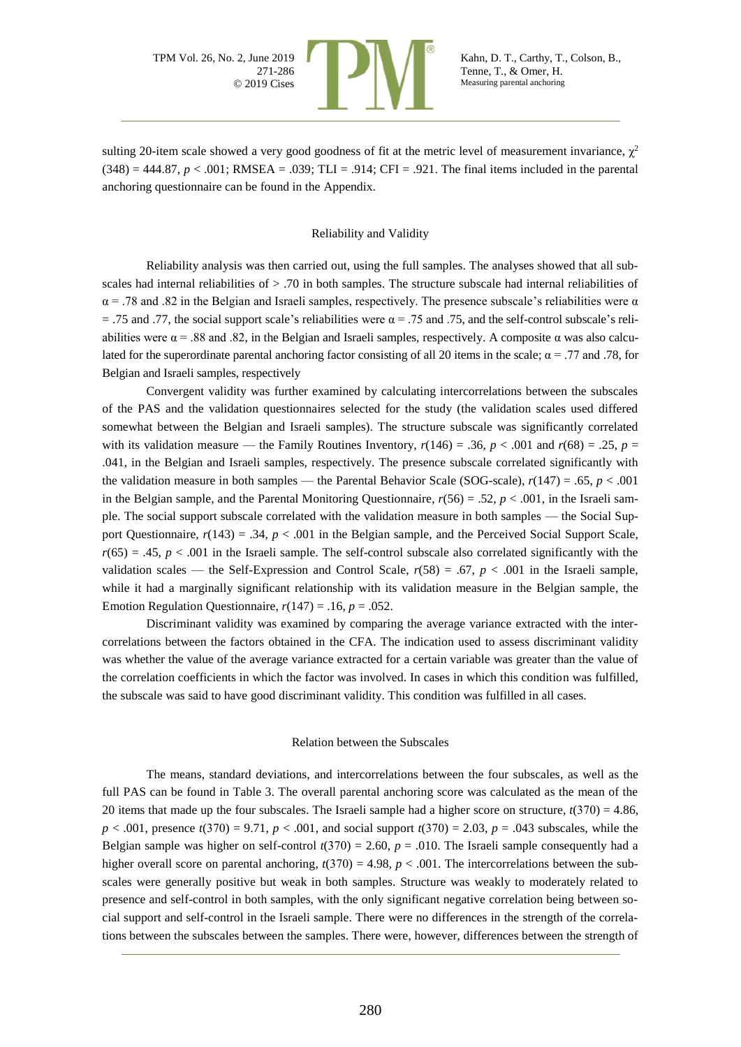

sulting 20-item scale showed a very good goodness of fit at the metric level of measurement invariance,  $\chi^2$ (348) = 444.87, *p* < .001; RMSEA = .039; TLI = .914; CFI = .921. The final items included in the parental anchoring questionnaire can be found in the Appendix.

#### Reliability and Validity

Reliability analysis was then carried out, using the full samples. The analyses showed that all subscales had internal reliabilities of > .70 in both samples. The structure subscale had internal reliabilities of  $\alpha$  = .78 and .82 in the Belgian and Israeli samples, respectively. The presence subscale's reliabilities were  $\alpha$ = .75 and .77, the social support scale's reliabilities were  $\alpha$  = .75 and .75, and the self-control subscale's reliabilities were  $\alpha$  = .88 and .82, in the Belgian and Israeli samples, respectively. A composite  $\alpha$  was also calculated for the superordinate parental anchoring factor consisting of all 20 items in the scale;  $\alpha = .77$  and .78, for Belgian and Israeli samples, respectively

Convergent validity was further examined by calculating intercorrelations between the subscales of the PAS and the validation questionnaires selected for the study (the validation scales used differed somewhat between the Belgian and Israeli samples). The structure subscale was significantly correlated with its validation measure — the Family Routines Inventory,  $r(146) = .36$ ,  $p < .001$  and  $r(68) = .25$ ,  $p =$ .041, in the Belgian and Israeli samples, respectively. The presence subscale correlated significantly with the validation measure in both samples — the Parental Behavior Scale (SOG-scale), *r*(147) = .65, *p* < .001 in the Belgian sample, and the Parental Monitoring Questionnaire, *r*(56) = .52, *p* < .001, in the Israeli sample. The social support subscale correlated with the validation measure in both samples — the Social Support Questionnaire, *r*(143) = .34, *p* < .001 in the Belgian sample, and the Perceived Social Support Scale,  $r(65) = .45$ ,  $p < .001$  in the Israeli sample. The self-control subscale also correlated significantly with the validation scales — the Self-Expression and Control Scale, *r*(58) = .67, *p* < .001 in the Israeli sample, while it had a marginally significant relationship with its validation measure in the Belgian sample, the Emotion Regulation Questionnaire,  $r(147) = .16$ ,  $p = .052$ .

Discriminant validity was examined by comparing the average variance extracted with the intercorrelations between the factors obtained in the CFA. The indication used to assess discriminant validity was whether the value of the average variance extracted for a certain variable was greater than the value of the correlation coefficients in which the factor was involved. In cases in which this condition was fulfilled, the subscale was said to have good discriminant validity. This condition was fulfilled in all cases.

#### Relation between the Subscales

The means, standard deviations, and intercorrelations between the four subscales, as well as the full PAS can be found in Table 3. The overall parental anchoring score was calculated as the mean of the 20 items that made up the four subscales. The Israeli sample had a higher score on structure,  $t(370) = 4.86$ , *p* < .001, presence *t*(370) = 9.71, *p* < .001, and social support *t*(370) = 2.03, *p* = .043 subscales, while the Belgian sample was higher on self-control  $t(370) = 2.60$ ,  $p = .010$ . The Israeli sample consequently had a higher overall score on parental anchoring,  $t(370) = 4.98$ ,  $p < .001$ . The intercorrelations between the subscales were generally positive but weak in both samples. Structure was weakly to moderately related to presence and self-control in both samples, with the only significant negative correlation being between social support and self-control in the Israeli sample. There were no differences in the strength of the correlations between the subscales between the samples. There were, however, differences between the strength of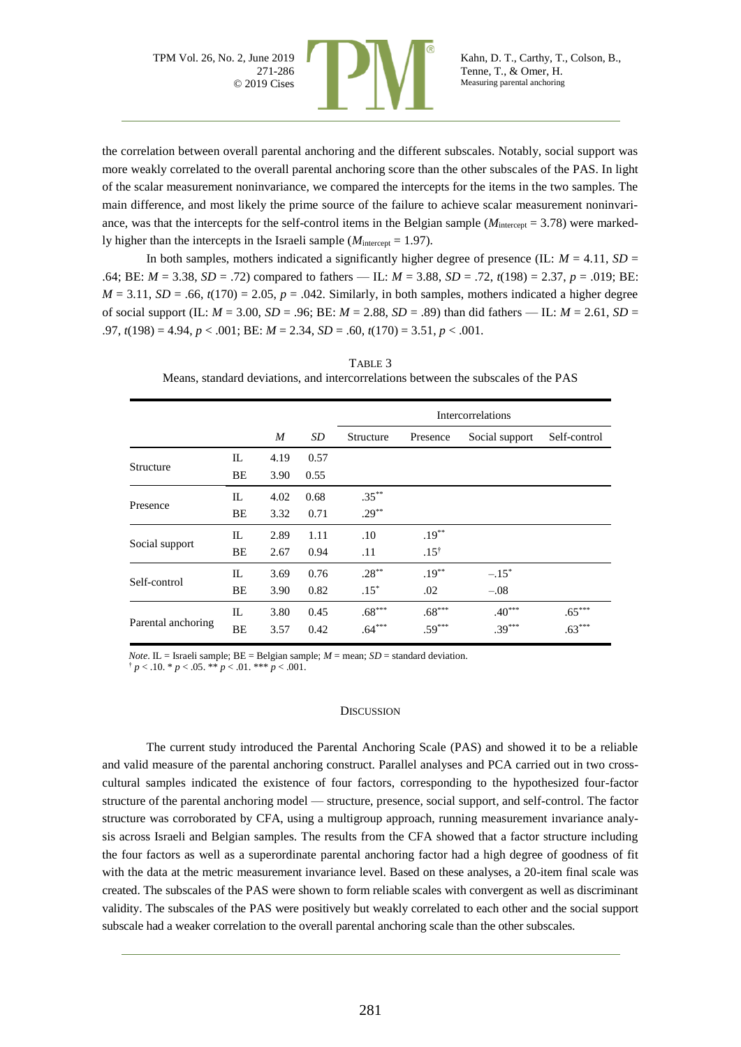

the correlation between overall parental anchoring and the different subscales. Notably, social support was more weakly correlated to the overall parental anchoring score than the other subscales of the PAS. In light of the scalar measurement noninvariance, we compared the intercepts for the items in the two samples. The main difference, and most likely the prime source of the failure to achieve scalar measurement noninvariance, was that the intercepts for the self-control items in the Belgian sample ( $M_{intercept} = 3.78$ ) were markedly higher than the intercepts in the Israeli sample ( $M<sub>intercept</sub> = 1.97$ ).

In both samples, mothers indicated a significantly higher degree of presence (IL:  $M = 4.11$ ,  $SD =$ .64; BE: *M* = 3.38, *SD* = .72) compared to fathers — IL: *M* = 3.88, *SD* = .72, *t*(198) = 2.37, *p* = .019; BE:  $M = 3.11$ ,  $SD = .66$ ,  $t(170) = 2.05$ ,  $p = .042$ . Similarly, in both samples, mothers indicated a higher degree of social support (IL: *M* = 3.00, *SD* = .96; BE: *M* = 2.88, *SD* = .89) than did fathers — IL: *M* = 2.61, *SD* = .97, *t*(198) = 4.94, *p* < .001; BE: *M* = 2.34, *SD* = .60, *t*(170) = 3.51, *p* < .001.

| TABLE 3                                                                            |
|------------------------------------------------------------------------------------|
| Means, standard deviations, and intercorrelations between the subscales of the PAS |

|                    |     |                  |      | Intercorrelations |                 |                |              |  |  |  |  |
|--------------------|-----|------------------|------|-------------------|-----------------|----------------|--------------|--|--|--|--|
|                    |     | $\boldsymbol{M}$ | SD   | Structure         | Presence        | Social support | Self-control |  |  |  |  |
|                    | IL  | 4.19             | 0.57 |                   |                 |                |              |  |  |  |  |
| Structure          | BE  | 3.90             | 0.55 |                   |                 |                |              |  |  |  |  |
| Presence           | IL  | 4.02             | 0.68 | $.35***$          |                 |                |              |  |  |  |  |
|                    | BE  | 3.32             | 0.71 | $.29***$          |                 |                |              |  |  |  |  |
| Social support     | IL  | 2.89             | 1.11 | .10               | $.19***$        |                |              |  |  |  |  |
|                    | BE  | 2.67             | 0.94 | .11               | $.15^{\dagger}$ |                |              |  |  |  |  |
| Self-control       | IL  | 3.69             | 0.76 | $.28***$          | $.19***$        | $-.15*$        |              |  |  |  |  |
|                    | BE  | 3.90             | 0.82 | $.15*$            | .02             | $-.08$         |              |  |  |  |  |
| Parental anchoring | IL. | 3.80             | 0.45 | $.68***$          | $.68***$        | $.40***$       | $.65***$     |  |  |  |  |
|                    | BE  | 3.57             | 0.42 | $.64***$          | $.59***$        | $.39***$       | $.63***$     |  |  |  |  |

*Note*. IL = Israeli sample;  $BE = Belgian$  sample;  $M = mean$ ;  $SD = standard deviation$ .  $\frac{1}{p}$  < .10. \* *p* < .05. \*\* *p* < .01. \*\*\* *p* < .001.

#### **DISCUSSION**

The current study introduced the Parental Anchoring Scale (PAS) and showed it to be a reliable and valid measure of the parental anchoring construct. Parallel analyses and PCA carried out in two crosscultural samples indicated the existence of four factors, corresponding to the hypothesized four-factor structure of the parental anchoring model — structure, presence, social support, and self-control. The factor structure was corroborated by CFA, using a multigroup approach, running measurement invariance analysis across Israeli and Belgian samples. The results from the CFA showed that a factor structure including the four factors as well as a superordinate parental anchoring factor had a high degree of goodness of fit with the data at the metric measurement invariance level. Based on these analyses, a 20-item final scale was created. The subscales of the PAS were shown to form reliable scales with convergent as well as discriminant validity. The subscales of the PAS were positively but weakly correlated to each other and the social support subscale had a weaker correlation to the overall parental anchoring scale than the other subscales.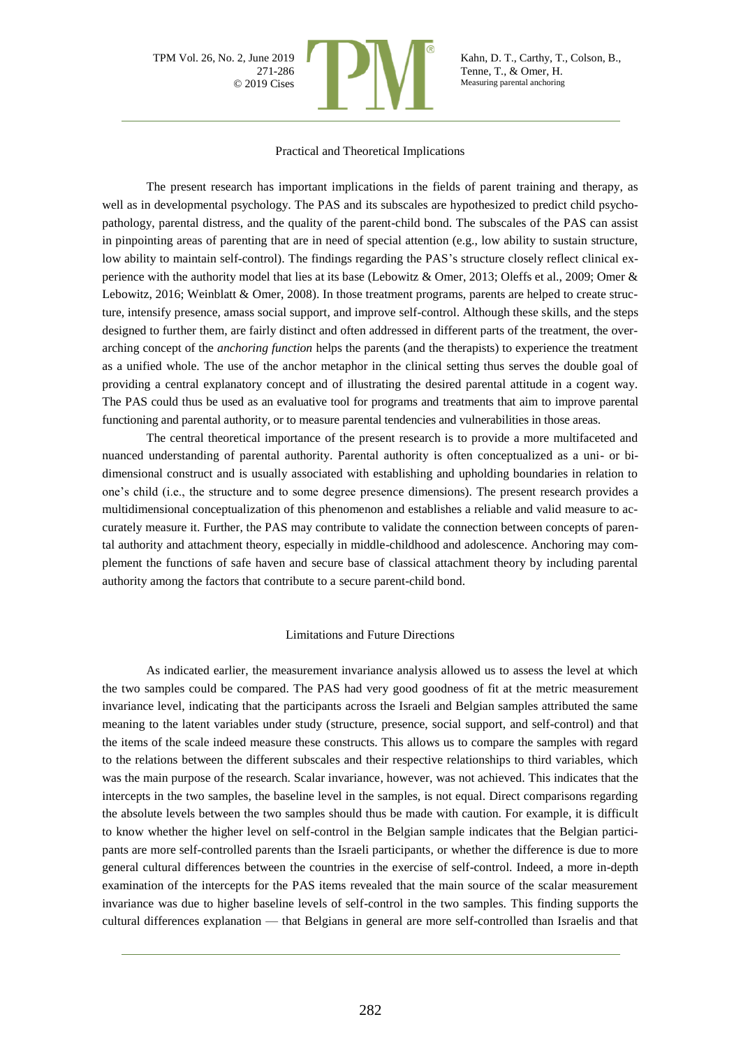

Kahn, D. T., Carthy, T., Colson, B., Tenne, T., & Omer, H. Measuring parental anchoring

#### Practical and Theoretical Implications

The present research has important implications in the fields of parent training and therapy, as well as in developmental psychology. The PAS and its subscales are hypothesized to predict child psychopathology, parental distress, and the quality of the parent-child bond. The subscales of the PAS can assist in pinpointing areas of parenting that are in need of special attention (e.g., low ability to sustain structure, low ability to maintain self-control). The findings regarding the PAS's structure closely reflect clinical experience with the authority model that lies at its base (Lebowitz & Omer, 2013; Oleffs et al., 2009; Omer & Lebowitz, 2016; Weinblatt & Omer, 2008). In those treatment programs, parents are helped to create structure, intensify presence, amass social support, and improve self-control. Although these skills, and the steps designed to further them, are fairly distinct and often addressed in different parts of the treatment, the overarching concept of the *anchoring function* helps the parents (and the therapists) to experience the treatment as a unified whole. The use of the anchor metaphor in the clinical setting thus serves the double goal of providing a central explanatory concept and of illustrating the desired parental attitude in a cogent way. The PAS could thus be used as an evaluative tool for programs and treatments that aim to improve parental functioning and parental authority, or to measure parental tendencies and vulnerabilities in those areas.

The central theoretical importance of the present research is to provide a more multifaceted and nuanced understanding of parental authority. Parental authority is often conceptualized as a uni- or bidimensional construct and is usually associated with establishing and upholding boundaries in relation to one's child (i.e., the structure and to some degree presence dimensions). The present research provides a multidimensional conceptualization of this phenomenon and establishes a reliable and valid measure to accurately measure it. Further, the PAS may contribute to validate the connection between concepts of parental authority and attachment theory, especially in middle-childhood and adolescence. Anchoring may complement the functions of safe haven and secure base of classical attachment theory by including parental authority among the factors that contribute to a secure parent-child bond.

#### Limitations and Future Directions

As indicated earlier, the measurement invariance analysis allowed us to assess the level at which the two samples could be compared. The PAS had very good goodness of fit at the metric measurement invariance level, indicating that the participants across the Israeli and Belgian samples attributed the same meaning to the latent variables under study (structure, presence, social support, and self-control) and that the items of the scale indeed measure these constructs. This allows us to compare the samples with regard to the relations between the different subscales and their respective relationships to third variables, which was the main purpose of the research. Scalar invariance, however, was not achieved. This indicates that the intercepts in the two samples, the baseline level in the samples, is not equal. Direct comparisons regarding the absolute levels between the two samples should thus be made with caution. For example, it is difficult to know whether the higher level on self-control in the Belgian sample indicates that the Belgian participants are more self-controlled parents than the Israeli participants, or whether the difference is due to more general cultural differences between the countries in the exercise of self-control. Indeed, a more in-depth examination of the intercepts for the PAS items revealed that the main source of the scalar measurement invariance was due to higher baseline levels of self-control in the two samples. This finding supports the cultural differences explanation — that Belgians in general are more self-controlled than Israelis and that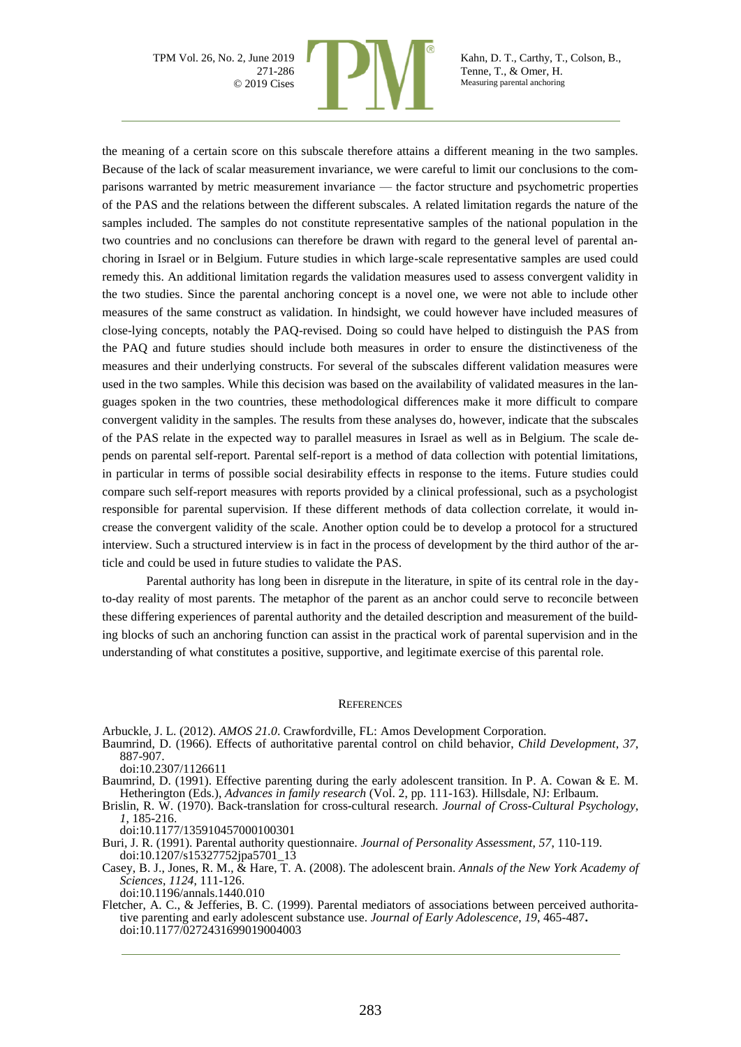

Kahn, D. T., Carthy, T., Colson, B., Tenne, T., & Omer, H. Measuring parental anchoring

the meaning of a certain score on this subscale therefore attains a different meaning in the two samples. Because of the lack of scalar measurement invariance, we were careful to limit our conclusions to the comparisons warranted by metric measurement invariance — the factor structure and psychometric properties of the PAS and the relations between the different subscales. A related limitation regards the nature of the samples included. The samples do not constitute representative samples of the national population in the two countries and no conclusions can therefore be drawn with regard to the general level of parental anchoring in Israel or in Belgium. Future studies in which large-scale representative samples are used could remedy this. An additional limitation regards the validation measures used to assess convergent validity in the two studies. Since the parental anchoring concept is a novel one, we were not able to include other measures of the same construct as validation. In hindsight, we could however have included measures of close-lying concepts, notably the PAQ-revised. Doing so could have helped to distinguish the PAS from the PAQ and future studies should include both measures in order to ensure the distinctiveness of the measures and their underlying constructs. For several of the subscales different validation measures were used in the two samples. While this decision was based on the availability of validated measures in the languages spoken in the two countries, these methodological differences make it more difficult to compare convergent validity in the samples. The results from these analyses do, however, indicate that the subscales of the PAS relate in the expected way to parallel measures in Israel as well as in Belgium. The scale depends on parental self-report. Parental self-report is a method of data collection with potential limitations, in particular in terms of possible social desirability effects in response to the items. Future studies could compare such self-report measures with reports provided by a clinical professional, such as a psychologist responsible for parental supervision. If these different methods of data collection correlate, it would increase the convergent validity of the scale. Another option could be to develop a protocol for a structured interview. Such a structured interview is in fact in the process of development by the third author of the article and could be used in future studies to validate the PAS.

Parental authority has long been in disrepute in the literature, in spite of its central role in the dayto-day reality of most parents. The metaphor of the parent as an anchor could serve to reconcile between these differing experiences of parental authority and the detailed description and measurement of the building blocks of such an anchoring function can assist in the practical work of parental supervision and in the understanding of what constitutes a positive, supportive, and legitimate exercise of this parental role.

#### **REFERENCES**

Arbuckle, J. L. (2012). *AMOS 21.0*. Crawfordville, FL: Amos Development Corporation.

Baumrind, D. (1966). Effects of authoritative parental control on child behavior, *Child Development*, *37*, 887-907.

doi:10.2307/1126611

Baumrind, D. (1991). Effective parenting during the early adolescent transition. In P. A. Cowan & E. M. Hetherington (Eds.), *Advances in family research* (Vol. 2, pp. 111-163). Hillsdale, NJ: Erlbaum.

Brislin, R. W. (1970). Back-translation for cross-cultural research. *Journal of Cross-Cultural Psychology*, *1*, 185-216.

doi:10.1177/135910457000100301

Buri, J. R. (1991). Parental authority questionnaire. *Journal of Personality Assessment*, *57*, 110-119. doi:10.1207/s15327752jpa5701\_13

Casey, B. J., Jones, R. M., & Hare, T. A. (2008). The adolescent brain. *Annals of the New York Academy of Sciences*, *1124*, 111-126. doi:10.1196/annals.1440.010

Fletcher, A. C., & Jefferies, B. C. (1999). Parental mediators of associations between perceived authoritative parenting and early adolescent substance use. *Journal of Early Adolescence*, *19*, 465-487**.** doi:10.1177/0272431699019004003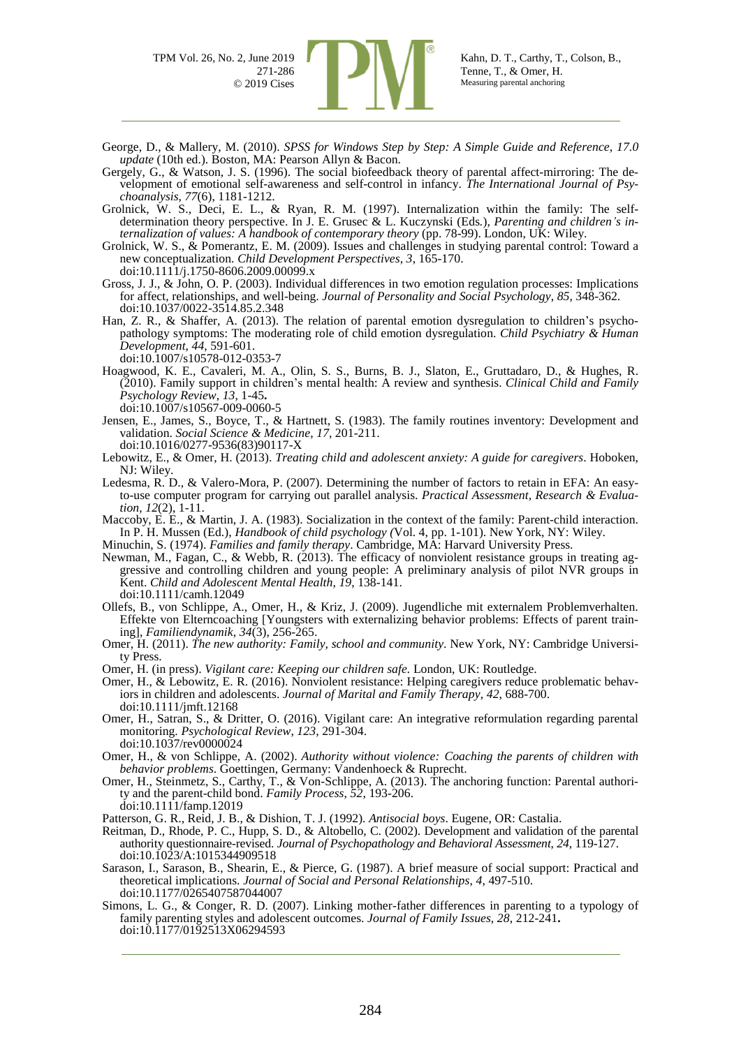

George, D., & Mallery, M. (2010). *SPSS for Windows Step by Step: A Simple Guide and Reference, 17.0 update* (10th ed.). Boston, MA: Pearson Allyn & Bacon.

- Gergely, G., & Watson, J. S. (1996). The social biofeedback theory of parental affect-mirroring: The development of emotional self-awareness and self-control in infancy. *The International Journal of Psychoanalysis*, *77*(6), 1181-1212.
- Grolnick, W. S., Deci, E. L., & Ryan, R. M. (1997). Internalization within the family: The selfdetermination theory perspective. In J. E. Grusec & L. Kuczynski (Eds*.*), *Parenting and children's internalization of values: A handbook of contemporary theory* (pp. 78-99). London, UK: Wiley.
- Grolnick, W. S., & Pomerantz, E. M. (2009). Issues and challenges in studying parental control: Toward a new conceptualization. *Child Development Perspectives*, *3*, 165-170. doi:10.1111/j.1750-8606.2009.00099.x
- Gross, J. J., & John, O. P. (2003). Individual differences in two emotion regulation processes: Implications for affect, relationships, and well-being. *Journal of Personality and Social Psychology*, *85*, 348-362. doi:10.1037/0022-3514.85.2.348
- Han, Z. R., & Shaffer, A. (2013). The relation of parental emotion dysregulation to children's psychopathology symptoms: The moderating role of child emotion dysregulation. *Child Psychiatry & Human Development*, *44*, 591-601. doi:10.1007/s10578-012-0353-7
- Hoagwood, K. E., Cavaleri, M. A., Olin, S. S., Burns, B. J., Slaton, E., Gruttadaro, D., & Hughes, R. (2010). Family support in children's mental health: A review and synthesis. *Clinical Child and Family Psychology Review*, *13*, 1-45**.** doi:10.1007/s10567-009-0060-5
- Jensen, E., James, S., Boyce, T., & Hartnett, S. (1983). The family routines inventory: Development and validation. *Social Science & Medicine*, *17*, 201-211. doi:10.1016/0277-9536(83)90117-X
- Lebowitz, E., & Omer, H. (2013). *Treating child and adolescent anxiety: A guide for caregivers*. Hoboken, NJ: Wiley.
- Ledesma, R. D., & Valero-Mora, P. (2007). Determining the number of factors to retain in EFA: An easyto-use computer program for carrying out parallel analysis. *Practical Assessment, Research & Evaluation*, *12*(2), 1-11.
- Maccoby, E. E., & Martin, J. A. (1983). Socialization in the context of the family: Parent-child interaction. In P. H. Mussen (Ed.), *Handbook of child psychology (*Vol. 4, pp. 1-101). New York, NY: Wiley.
- Minuchin, S. (1974). *Families and family therapy*. Cambridge, MA: Harvard University Press.
- Newman, M., Fagan, C., & Webb, R. (2013). The efficacy of nonviolent resistance groups in treating aggressive and controlling children and young people: A preliminary analysis of pilot NVR groups in Kent. *Child and Adolescent Mental Health*, *19*, 138-141. doi:10.1111/camh.12049
- Ollefs, B., von Schlippe, A., Omer, H., & Kriz, J. (2009). Jugendliche mit externalem Problemverhalten. Effekte von Elterncoaching [Youngsters with externalizing behavior problems: Effects of parent training], *Familiendynamik*, *34*(3), 256-265.
- Omer, H. (2011). *The new authority: Family, school and community*. New York, NY: Cambridge University Press.
- Omer, H. (in press). *Vigilant care: Keeping our children safe.* London, UK: Routledge.
- Omer, H., & Lebowitz, E. R. (2016). Nonviolent resistance: Helping caregivers reduce problematic behaviors in children and adolescents. *Journal of Marital and Family Therapy*, *42*, 688-700. doi:10.1111/jmft.12168
- Omer, H., Satran, S., & Dritter, O. (2016). Vigilant care: An integrative reformulation regarding parental monitoring. *Psychological Review*, *123*, 291-304. doi:10.1037/rev0000024
- Omer, H., & von Schlippe, A. (2002). *Authority without violence: Coaching the parents of children with behavior problems*. Goettingen, Germany: Vandenhoeck & Ruprecht.
- Omer, H., Steinmetz, S., Carthy, T., & Von-Schlippe, A. (2013). The anchoring function: Parental authority and the parent-child bond. *Family Process*, *52*, 193-206. doi:10.1111/famp.12019
- Patterson, G. R., Reid, J. B., & Dishion, T. J. (1992). *Antisocial boys*. Eugene, OR: Castalia.
- Reitman, D., Rhode, P. C., Hupp, S. D., & Altobello, C. (2002). Development and validation of the parental authority questionnaire-revised. *Journal of Psychopathology and Behavioral Assessment*, *24*, 119-127. doi:10.1023/A:1015344909518
- Sarason, I., Sarason, B., Shearin, E., & Pierce, G. (1987). A brief measure of social support: Practical and theoretical implications. *Journal of Social and Personal Relationships*, *4*, 497-510. doi:10.1177/0265407587044007
- Simons, L. G., & Conger, R. D. (2007). Linking mother-father differences in parenting to a typology of family parenting styles and adolescent outcomes. *Journal of Family Issues*, *28*, 212-241**.** doi:10.1177/0192513X06294593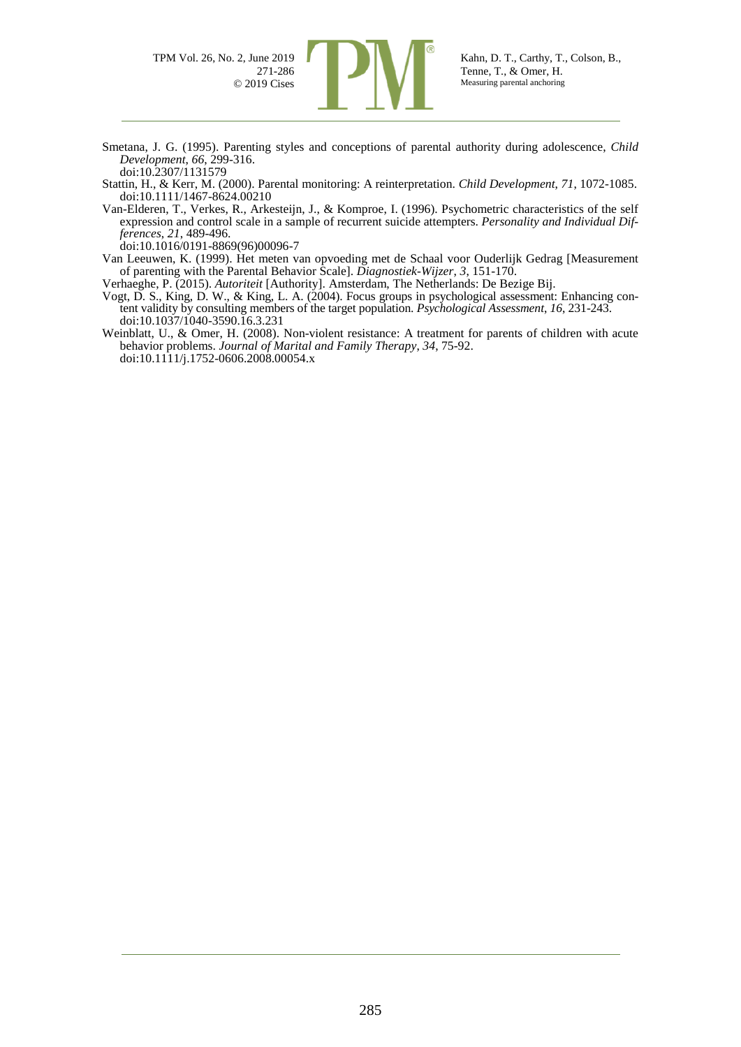

- Smetana, J. G. (1995). Parenting styles and conceptions of parental authority during adolescence, *Child Development*, *66*, 299-316. doi:10.2307/1131579
- Stattin, H., & Kerr, M. (2000). Parental monitoring: A reinterpretation. *Child Development*, *71*, 1072-1085. doi:10.1111/1467-8624.00210
- Van-Elderen, T., Verkes, R., Arkesteijn, J., & Komproe, I. (1996). Psychometric characteristics of the self expression and control scale in a sample of recurrent suicide attempters. *Personality and Individual Differences*, *21*, 489-496.
- doi:10.1016/0191-8869(96)00096-7
- Van Leeuwen, K. (1999). Het meten van opvoeding met de Schaal voor Ouderlijk Gedrag [Measurement of parenting with the Parental Behavior Scale]. *Diagnostiek-Wijzer*, *3*, 151-170.

Verhaeghe, P. (2015). *Autoriteit* [Authority]. Amsterdam, The Netherlands: De Bezige Bij.

- Vogt, D. S., King, D. W., & King, L. A. (2004). Focus groups in psychological assessment: Enhancing content validity by consulting members of the target population. *Psychological Assessment*, *16*, 231-243. doi:10.1037/1040-3590.16.3.231
- Weinblatt, U., & Omer, H. (2008). Non-violent resistance: A treatment for parents of children with acute behavior problems. *Journal of Marital and Family Therapy*, *34*, 75-92. doi:10.1111/j.1752-0606.2008.00054.x